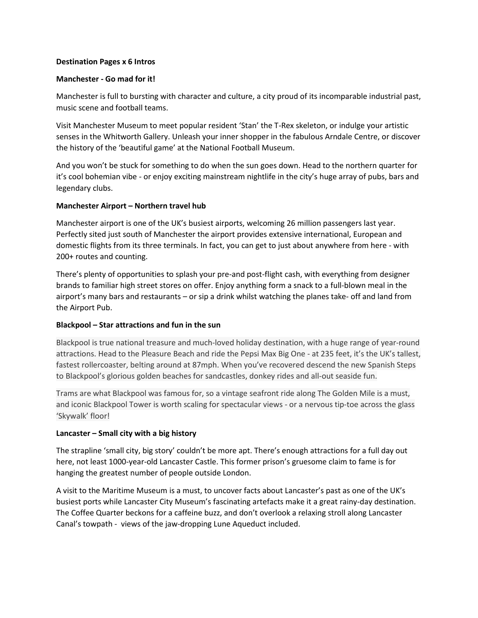## **Destination Pages x 6 Intros**

## **Manchester - Go mad for it!**

Manchester is full to bursting with character and culture, a city proud of its incomparable industrial past, music scene and football teams.

Visit Manchester Museum to meet popular resident 'Stan' the T-Rex skeleton, or indulge your artistic senses in the Whitworth Gallery. Unleash your inner shopper in the fabulous Arndale Centre, or discover the history of the 'beautiful game' at the National Football Museum.

And you won't be stuck for something to do when the sun goes down. Head to the northern quarter for it's cool bohemian vibe - or enjoy exciting mainstream nightlife in the city's huge array of pubs, bars and legendary clubs.

### **Manchester Airport – Northern travel hub**

Manchester airport is one of the UK's busiest airports, welcoming 26 million passengers last year. Perfectly sited just south of Manchester the airport provides extensive international, European and domestic flights from its three terminals. In fact, you can get to just about anywhere from here - with 200+ routes and counting.

There's plenty of opportunities to splash your pre-and post-flight cash, with everything from designer brands to familiar high street stores on offer. Enjoy anything form a snack to a full-blown meal in the airport's many bars and restaurants – or sip a drink whilst watching the planes take- off and land from the Airport Pub.

# **Blackpool – Star attractions and fun in the sun**

Blackpool is true national treasure and much-loved holiday destination, with a huge range of year-round attractions. Head to the Pleasure Beach and ride the Pepsi Max Big One - at 235 feet, it's the UK's tallest, fastest rollercoaster, belting around at 87mph. When you've recovered descend the new Spanish Steps to Blackpool's glorious golden beaches for sandcastles, donkey rides and all-out seaside fun.

Trams are what Blackpool was famous for, so a vintage seafront ride along The Golden Mile is a must, and iconic Blackpool Tower is worth scaling for spectacular views - or a nervous tip-toe across the glass 'Skywalk' floor!

# **Lancaster – Small city with a big history**

The strapline 'small city, big story' couldn't be more apt. There's enough attractions for a full day out here, not least 1000-year-old Lancaster Castle. This former prison's gruesome claim to fame is for hanging the greatest number of people outside London.

A visit to the Maritime Museum is a must, to uncover facts about Lancaster's past as one of the UK's busiest ports while Lancaster City Museum's fascinating artefacts make it a great rainy-day destination. The Coffee Quarter beckons for a caffeine buzz, and don't overlook a relaxing stroll along Lancaster Canal's towpath - views of the jaw-dropping Lune Aqueduct included.